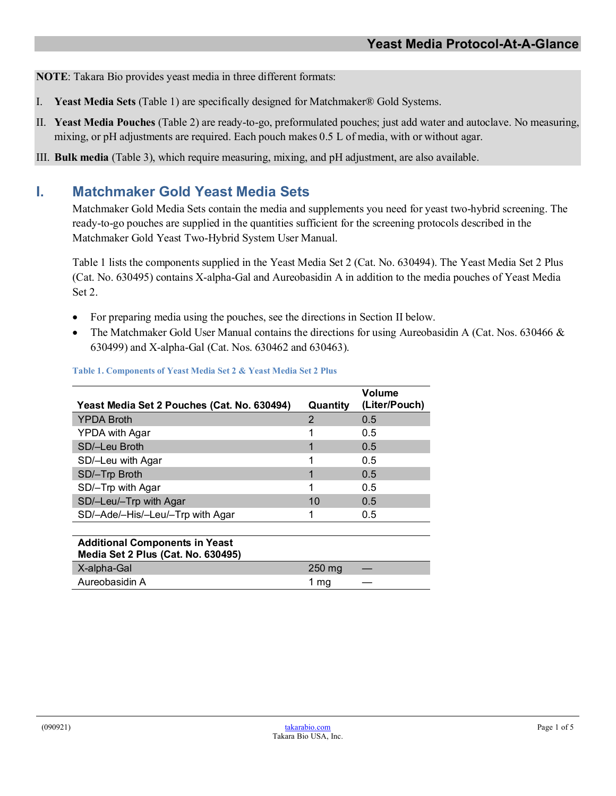**NOTE**: Takara Bio provides yeast media in three different formats:

- I. **Yeast Media Sets** (Table 1) are specifically designed for Matchmaker® Gold Systems.
- II. **Yeast Media Pouches** (Table 2) are ready-to-go, preformulated pouches; just add water and autoclave. No measuring, mixing, or pH adjustments are required. Each pouch makes 0.5 L of media, with or without agar.
- III. **Bulk media** (Table 3), which require measuring, mixing, and pH adjustment, are also available.

# **I. Matchmaker Gold Yeast Media Sets**

Matchmaker Gold Media Sets contain the media and supplements you need for yeast two-hybrid screening. The ready-to-go pouches are supplied in the quantities sufficient for the screening protocols described in the Matchmaker Gold Yeast Two-Hybrid System User Manual.

Table 1 lists the components supplied in the Yeast Media Set 2 (Cat. No. 630494). The Yeast Media Set 2 Plus (Cat. No. 630495) contains X-alpha-Gal and Aureobasidin A in addition to the media pouches of Yeast Media Set 2.

- For preparing media using the pouches, see the directions in Section II below.
- The Matchmaker Gold User Manual contains the directions for using Aureobasidin A (Cat. Nos. 630466 & 630499) and X-alpha-Gal (Cat. Nos. 630462 and 630463).

| Yeast Media Set 2 Pouches (Cat. No. 630494)                                 | Quantity | Volume<br>(Liter/Pouch) |
|-----------------------------------------------------------------------------|----------|-------------------------|
| <b>YPDA Broth</b>                                                           | 2        | 0.5                     |
| <b>YPDA with Agar</b>                                                       |          | 0.5                     |
| SD/-Leu Broth                                                               |          | 0.5                     |
| SD/-Leu with Agar                                                           |          | 0.5                     |
| SD/-Trp Broth                                                               |          | 0.5                     |
| SD/-Trp with Agar                                                           | 1        | 0.5                     |
| SD/-Leu/-Trp with Agar                                                      | 10       | 0.5                     |
| SD/-Ade/-His/-Leu/-Trp with Agar                                            |          | 0.5                     |
|                                                                             |          |                         |
| <b>Additional Components in Yeast</b><br>Media Set 2 Plus (Cat. No. 630495) |          |                         |
| X-alpha-Gal                                                                 | 250 mg   |                         |
| Aureobasidin A                                                              | 1 mg     |                         |

#### **Table 1. Components of Yeast Media Set 2 & Yeast Media Set 2 Plus**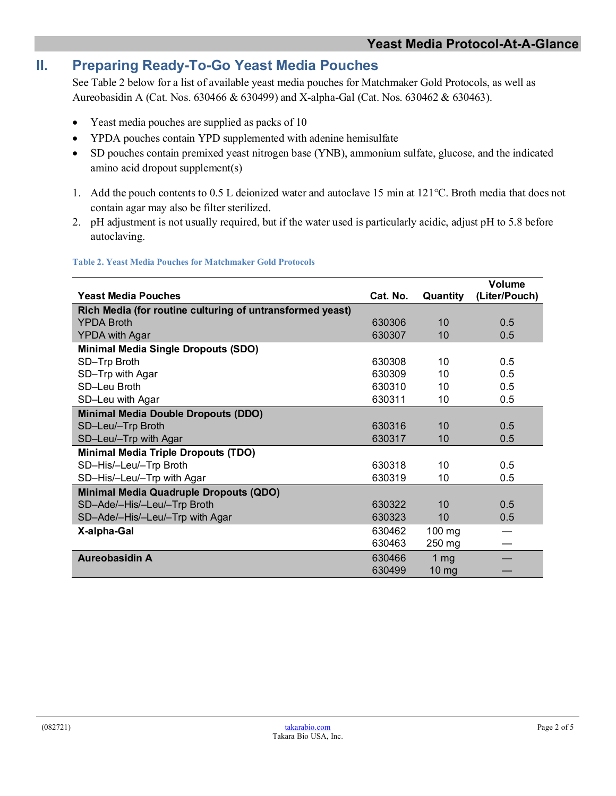# **II. Preparing Ready-To-Go Yeast Media Pouches**

See Table 2 below for a list of available yeast media pouches for Matchmaker Gold Protocols, as well as Aureobasidin A (Cat. Nos. 630466 & 630499) and X-alpha-Gal (Cat. Nos. 630462 & 630463).

- Yeast media pouches are supplied as packs of 10
- YPDA pouches contain YPD supplemented with adenine hemisulfate
- SD pouches contain premixed yeast nitrogen base (YNB), ammonium sulfate, glucose, and the indicated amino acid dropout supplement(s)
- 1. Add the pouch contents to 0.5 L deionized water and autoclave 15 min at 121°C. Broth media that does not contain agar may also be filter sterilized.
- 2. pH adjustment is not usually required, but if the water used is particularly acidic, adjust pH to 5.8 before autoclaving.

#### **Table 2. Yeast Media Pouches for Matchmaker Gold Protocols**

|                                                           |          |                 | Volume        |
|-----------------------------------------------------------|----------|-----------------|---------------|
| <b>Yeast Media Pouches</b>                                | Cat. No. | Quantity        | (Liter/Pouch) |
| Rich Media (for routine culturing of untransformed yeast) |          |                 |               |
| <b>YPDA Broth</b>                                         | 630306   | 10              | 0.5           |
| <b>YPDA with Agar</b>                                     | 630307   | 10              | 0.5           |
| <b>Minimal Media Single Dropouts (SDO)</b>                |          |                 |               |
| SD-Trp Broth                                              | 630308   | 10              | 0.5           |
| SD-Trp with Agar                                          | 630309   | 10              | 0.5           |
| SD-Leu Broth                                              | 630310   | 10              | 0.5           |
| SD-Leu with Agar                                          | 630311   | 10              | 0.5           |
| <b>Minimal Media Double Dropouts (DDO)</b>                |          |                 |               |
| SD-Leu/-Trp Broth                                         | 630316   | 10              | 0.5           |
| SD-Leu/-Trp with Agar                                     | 630317   | 10              | 0.5           |
| <b>Minimal Media Triple Dropouts (TDO)</b>                |          |                 |               |
| SD-His/-Leu/-Trp Broth                                    | 630318   | 10              | 0.5           |
| SD-His/-Leu/-Trp with Agar                                | 630319   | 10              | 0.5           |
| <b>Minimal Media Quadruple Dropouts (QDO)</b>             |          |                 |               |
| SD-Ade/-His/-Leu/-Trp Broth                               | 630322   | 10              | 0.5           |
| SD-Ade/-His/-Leu/-Trp with Agar                           | 630323   | 10              | 0.5           |
| X-alpha-Gal                                               | 630462   | 100 mg          |               |
|                                                           | 630463   | 250 mg          |               |
| <b>Aureobasidin A</b>                                     | 630466   | 1 <sub>mg</sub> |               |
|                                                           | 630499   | $10 \text{ mg}$ |               |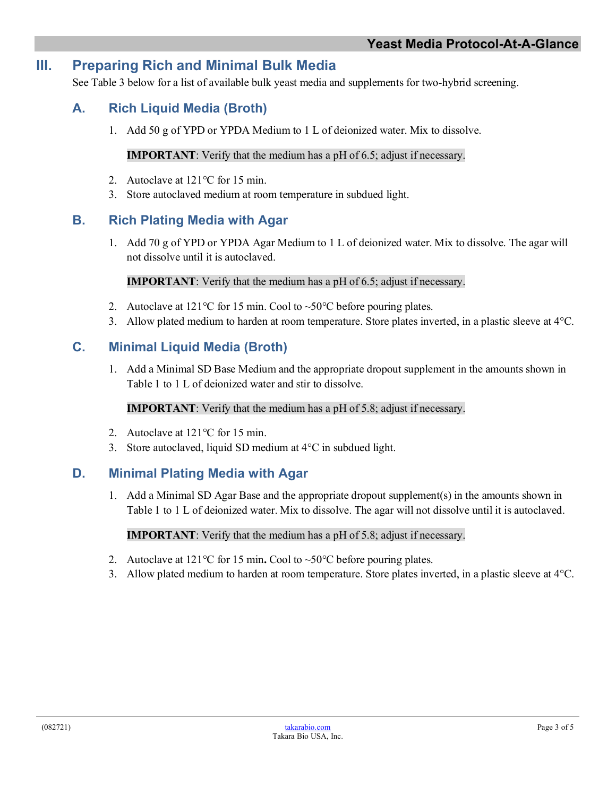# **III. Preparing Rich and Minimal Bulk Media**

See Table 3 below for a list of available bulk yeast media and supplements for two-hybrid screening.

# **A. Rich Liquid Media (Broth)**

1. Add 50 g of YPD or YPDA Medium to 1 L of deionized water. Mix to dissolve.

### **IMPORTANT**: Verify that the medium has a pH of 6.5; adjust if necessary.

- 2. Autoclave at 121<sup>o</sup>C for 15 min.
- 3. Store autoclaved medium at room temperature in subdued light.

### **B. Rich Plating Media with Agar**

1. Add 70 g of YPD or YPDA Agar Medium to 1 L of deionized water. Mix to dissolve. The agar will not dissolve until it is autoclaved.

#### **IMPORTANT**: Verify that the medium has a pH of 6.5; adjust if necessary.

- 2. Autoclave at  $121^{\circ}$ C for 15 min. Cool to  $\sim 50^{\circ}$ C before pouring plates.
- 3. Allow plated medium to harden at room temperature. Store plates inverted, in a plastic sleeve at  $4^{\circ}$ C.

### **C. Minimal Liquid Media (Broth)**

1. Add a Minimal SD Base Medium and the appropriate dropout supplement in the amounts shown in Table 1 to 1 L of deionized water and stir to dissolve.

#### **IMPORTANT**: Verify that the medium has a pH of 5.8; adjust if necessary.

- 2. Autoclave at 121<sup>o</sup>C for 15 min.
- 3. Store autoclaved, liquid SD medium at 4°C in subdued light.

### **D. Minimal Plating Media with Agar**

1. Add a Minimal SD Agar Base and the appropriate dropout supplement(s) in the amounts shown in Table 1 to 1 L of deionized water. Mix to dissolve. The agar will not dissolve until it is autoclaved.

#### **IMPORTANT**: Verify that the medium has a pH of 5.8; adjust if necessary.

- 2. Autoclave at 121°C for 15 min**.** Cool to ~50°C before pouring plates.
- 3. Allow plated medium to harden at room temperature. Store plates inverted, in a plastic sleeve at 4°C.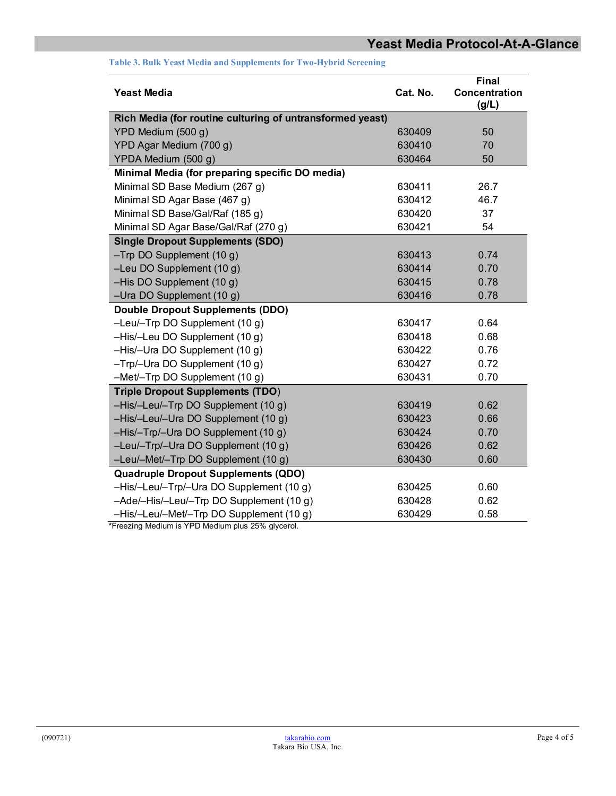| <b>Yeast Media</b>                                        | Cat. No. | <b>Final</b><br><b>Concentration</b><br>(g/L) |
|-----------------------------------------------------------|----------|-----------------------------------------------|
| Rich Media (for routine culturing of untransformed yeast) |          |                                               |
| YPD Medium (500 g)                                        | 630409   | 50                                            |
| YPD Agar Medium (700 g)                                   | 630410   | 70                                            |
| YPDA Medium (500 g)                                       | 630464   | 50                                            |
| Minimal Media (for preparing specific DO media)           |          |                                               |
| Minimal SD Base Medium (267 g)                            | 630411   | 26.7                                          |
| Minimal SD Agar Base (467 g)                              | 630412   | 46.7                                          |
| Minimal SD Base/Gal/Raf (185 g)                           | 630420   | 37                                            |
| Minimal SD Agar Base/Gal/Raf (270 g)                      | 630421   | 54                                            |
| <b>Single Dropout Supplements (SDO)</b>                   |          |                                               |
| $-Trp$ DO Supplement (10 g)                               | 630413   | 0.74                                          |
| -Leu DO Supplement (10 g)                                 | 630414   | 0.70                                          |
| -His DO Supplement (10 g)                                 | 630415   | 0.78                                          |
| -Ura DO Supplement (10 g)                                 | 630416   | 0.78                                          |
| <b>Double Dropout Supplements (DDO)</b>                   |          |                                               |
| $-$ Leu/ $-$ Trp DO Supplement (10 g)                     | 630417   | 0.64                                          |
| -His/-Leu DO Supplement (10 g)                            | 630418   | 0.68                                          |
| -His/-Ura DO Supplement (10 g)                            | 630422   | 0.76                                          |
| $-Trp$ /-Ura DO Supplement (10 g)                         | 630427   | 0.72                                          |
| -Met/-Trp DO Supplement (10 g)                            | 630431   | 0.70                                          |
| <b>Triple Dropout Supplements (TDO)</b>                   |          |                                               |
| -His/-Leu/-Trp DO Supplement (10 g)                       | 630419   | 0.62                                          |
| -His/-Leu/-Ura DO Supplement (10 g)                       | 630423   | 0.66                                          |
| -His/-Trp/-Ura DO Supplement (10 g)                       | 630424   | 0.70                                          |
| -Leu/-Trp/-Ura DO Supplement (10 g)                       | 630426   | 0.62                                          |
| -Leu/-Met/-Trp DO Supplement (10 g)                       | 630430   | 0.60                                          |
| <b>Quadruple Dropout Supplements (QDO)</b>                |          |                                               |
| -His/-Leu/-Trp/-Ura DO Supplement (10 g)                  | 630425   | 0.60                                          |
| -Ade/-His/-Leu/-Trp DO Supplement (10 g)                  | 630428   | 0.62                                          |
| -His/-Leu/-Met/-Trp DO Supplement (10 g)                  | 630429   | 0.58                                          |

**Table 3. Bulk Yeast Media and Supplements for Two-Hybrid Screening**

\*Freezing Medium is YPD Medium plus 25% glycerol.